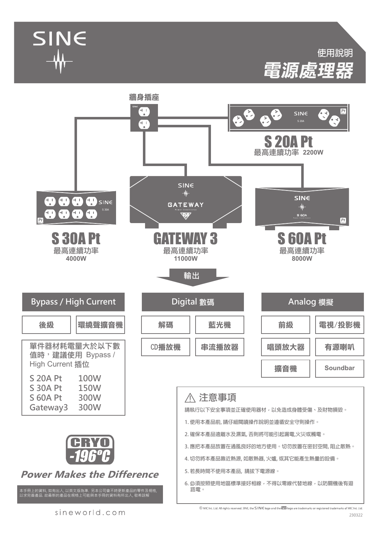